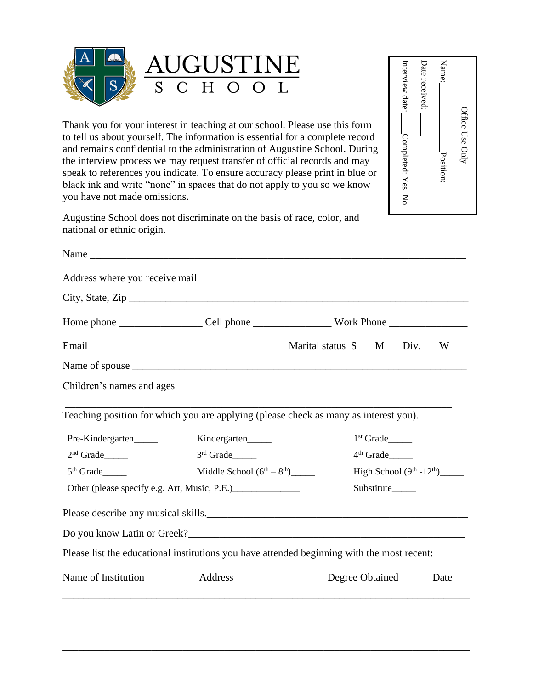

|                              |                                                                                                                                                                                                                                                                                                                                                                                                                                                                                     | ,我们也不会有什么。""我们的人,我们也不会有什么?""我们的人,我们也不会有什么?""我们的人,我们也不会有什么?""我们的人,我们也不会有什么?""我们的人           |                              |  |
|------------------------------|-------------------------------------------------------------------------------------------------------------------------------------------------------------------------------------------------------------------------------------------------------------------------------------------------------------------------------------------------------------------------------------------------------------------------------------------------------------------------------------|--------------------------------------------------------------------------------------------|------------------------------|--|
|                              |                                                                                                                                                                                                                                                                                                                                                                                                                                                                                     | ,我们也不能在这里的时候,我们也不能在这里的时候,我们也不能会在这里的时候,我们也不能会在这里的时候,我们也不能会在这里的时候,我们也不能会在这里的时候,我们也不          |                              |  |
| Name of Institution          | Address                                                                                                                                                                                                                                                                                                                                                                                                                                                                             | Degree Obtained                                                                            | Date                         |  |
|                              |                                                                                                                                                                                                                                                                                                                                                                                                                                                                                     | Please list the educational institutions you have attended beginning with the most recent: |                              |  |
|                              |                                                                                                                                                                                                                                                                                                                                                                                                                                                                                     |                                                                                            |                              |  |
|                              |                                                                                                                                                                                                                                                                                                                                                                                                                                                                                     |                                                                                            |                              |  |
|                              | Other (please specify e.g. Art, Music, P.E.)                                                                                                                                                                                                                                                                                                                                                                                                                                        | Substitute_____                                                                            |                              |  |
| $5th$ Grade                  | Middle School $(6^{th} – 8^{th})$                                                                                                                                                                                                                                                                                                                                                                                                                                                   |                                                                                            | High School $(9th -12th)$    |  |
| $2nd$ Grade                  | $3rd$ Grade                                                                                                                                                                                                                                                                                                                                                                                                                                                                         | $4th$ Grade                                                                                |                              |  |
| Pre-Kindergarten             | Kindergarten                                                                                                                                                                                                                                                                                                                                                                                                                                                                        | $1st Grade$ <sub>______</sub>                                                              |                              |  |
|                              |                                                                                                                                                                                                                                                                                                                                                                                                                                                                                     | Teaching position for which you are applying (please check as many as interest you).       |                              |  |
|                              |                                                                                                                                                                                                                                                                                                                                                                                                                                                                                     |                                                                                            |                              |  |
|                              |                                                                                                                                                                                                                                                                                                                                                                                                                                                                                     |                                                                                            |                              |  |
|                              |                                                                                                                                                                                                                                                                                                                                                                                                                                                                                     |                                                                                            |                              |  |
|                              |                                                                                                                                                                                                                                                                                                                                                                                                                                                                                     |                                                                                            |                              |  |
|                              | City, State, $\mathsf{Zip}_{\_}$                                                                                                                                                                                                                                                                                                                                                                                                                                                    |                                                                                            |                              |  |
|                              |                                                                                                                                                                                                                                                                                                                                                                                                                                                                                     |                                                                                            |                              |  |
|                              | Name Name and the state of the state of the state of the state of the state of the state of the state of the state of the state of the state of the state of the state of the state of the state of the state of the state of                                                                                                                                                                                                                                                       |                                                                                            |                              |  |
| national or ethnic origin.   | Augustine School does not discriminate on the basis of race, color, and                                                                                                                                                                                                                                                                                                                                                                                                             |                                                                                            |                              |  |
| you have not made omissions. | Thank you for your interest in teaching at our school. Please use this form<br>to tell us about yourself. The information is essential for a complete record<br>and remains confidential to the administration of Augustine School. During<br>the interview process we may request transfer of official records and may<br>speak to references you indicate. To ensure accuracy please print in blue or<br>black ink and write "none" in spaces that do not apply to you so we know | Completed: Yes<br>$\mathsf{N}$                                                             | Office Use Only<br>Position: |  |
| S<br>$S_{\text{}}$           | C H O O L                                                                                                                                                                                                                                                                                                                                                                                                                                                                           | Interview date:                                                                            | Date received:<br>Name:      |  |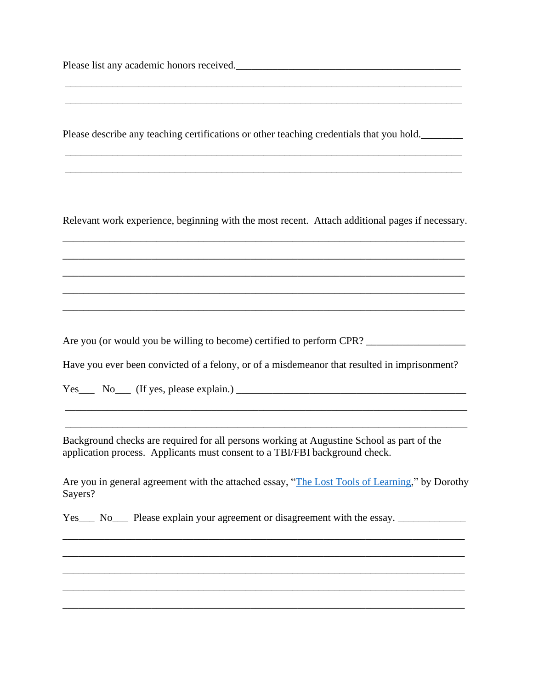Please list any academic honors received.

Please describe any teaching certifications or other teaching credentials that you hold.

\_\_\_\_\_\_\_\_\_\_\_\_\_\_\_\_\_\_\_\_\_\_\_\_\_\_\_\_\_\_\_\_\_\_\_\_\_\_\_\_\_\_\_\_\_\_\_\_\_\_\_\_\_\_\_\_\_\_\_\_\_\_\_\_\_\_\_\_\_\_\_\_\_\_\_\_ \_\_\_\_\_\_\_\_\_\_\_\_\_\_\_\_\_\_\_\_\_\_\_\_\_\_\_\_\_\_\_\_\_\_\_\_\_\_\_\_\_\_\_\_\_\_\_\_\_\_\_\_\_\_\_\_\_\_\_\_\_\_\_\_\_\_\_\_\_\_\_\_\_\_\_\_

\_\_\_\_\_\_\_\_\_\_\_\_\_\_\_\_\_\_\_\_\_\_\_\_\_\_\_\_\_\_\_\_\_\_\_\_\_\_\_\_\_\_\_\_\_\_\_\_\_\_\_\_\_\_\_\_\_\_\_\_\_\_\_\_\_\_\_\_\_\_\_\_\_\_\_\_ \_\_\_\_\_\_\_\_\_\_\_\_\_\_\_\_\_\_\_\_\_\_\_\_\_\_\_\_\_\_\_\_\_\_\_\_\_\_\_\_\_\_\_\_\_\_\_\_\_\_\_\_\_\_\_\_\_\_\_\_\_\_\_\_\_\_\_\_\_\_\_\_\_\_\_\_

Relevant work experience, beginning with the most recent. Attach additional pages if necessary. \_\_\_\_\_\_\_\_\_\_\_\_\_\_\_\_\_\_\_\_\_\_\_\_\_\_\_\_\_\_\_\_\_\_\_\_\_\_\_\_\_\_\_\_\_\_\_\_\_\_\_\_\_\_\_\_\_\_\_\_\_\_\_\_\_\_\_\_\_\_\_\_\_\_\_\_\_

\_\_\_\_\_\_\_\_\_\_\_\_\_\_\_\_\_\_\_\_\_\_\_\_\_\_\_\_\_\_\_\_\_\_\_\_\_\_\_\_\_\_\_\_\_\_\_\_\_\_\_\_\_\_\_\_\_\_\_\_\_\_\_\_\_\_\_\_\_\_\_\_\_\_\_\_\_ \_\_\_\_\_\_\_\_\_\_\_\_\_\_\_\_\_\_\_\_\_\_\_\_\_\_\_\_\_\_\_\_\_\_\_\_\_\_\_\_\_\_\_\_\_\_\_\_\_\_\_\_\_\_\_\_\_\_\_\_\_\_\_\_\_\_\_\_\_\_\_\_\_\_\_\_\_ \_\_\_\_\_\_\_\_\_\_\_\_\_\_\_\_\_\_\_\_\_\_\_\_\_\_\_\_\_\_\_\_\_\_\_\_\_\_\_\_\_\_\_\_\_\_\_\_\_\_\_\_\_\_\_\_\_\_\_\_\_\_\_\_\_\_\_\_\_\_\_\_\_\_\_\_\_ \_\_\_\_\_\_\_\_\_\_\_\_\_\_\_\_\_\_\_\_\_\_\_\_\_\_\_\_\_\_\_\_\_\_\_\_\_\_\_\_\_\_\_\_\_\_\_\_\_\_\_\_\_\_\_\_\_\_\_\_\_\_\_\_\_\_\_\_\_\_\_\_\_\_\_\_\_

Are you (or would you be willing to become) certified to perform CPR? \_\_\_\_\_\_\_\_\_\_\_\_\_\_\_\_\_\_\_

Have you ever been convicted of a felony, or of a misdemeanor that resulted in imprisonment?

\_\_\_\_\_\_\_\_\_\_\_\_\_\_\_\_\_\_\_\_\_\_\_\_\_\_\_\_\_\_\_\_\_\_\_\_\_\_\_\_\_\_\_\_\_\_\_\_\_\_\_\_\_\_\_\_\_\_\_\_\_\_\_\_\_\_\_\_\_\_\_\_\_\_\_\_\_ \_\_\_\_\_\_\_\_\_\_\_\_\_\_\_\_\_\_\_\_\_\_\_\_\_\_\_\_\_\_\_\_\_\_\_\_\_\_\_\_\_\_\_\_\_\_\_\_\_\_\_\_\_\_\_\_\_\_\_\_\_\_\_\_\_\_\_\_\_\_\_\_\_\_\_\_\_

 $Yes_\_$  No  $(If yes, please explain.)_\_$ 

Background checks are required for all persons working at Augustine School as part of the application process. Applicants must consent to a TBI/FBI background check.

Are you in general agreement with the attached essay, ["The Lost Tools of Learning,](https://augustineschool.org/wp-content/uploads/2019/01/AS_Lost-Tools-of-Learning-Sayers.pdf)" by Dorothy Sayers?

\_\_\_\_\_\_\_\_\_\_\_\_\_\_\_\_\_\_\_\_\_\_\_\_\_\_\_\_\_\_\_\_\_\_\_\_\_\_\_\_\_\_\_\_\_\_\_\_\_\_\_\_\_\_\_\_\_\_\_\_\_\_\_\_\_\_\_\_\_\_\_\_\_\_\_\_\_ \_\_\_\_\_\_\_\_\_\_\_\_\_\_\_\_\_\_\_\_\_\_\_\_\_\_\_\_\_\_\_\_\_\_\_\_\_\_\_\_\_\_\_\_\_\_\_\_\_\_\_\_\_\_\_\_\_\_\_\_\_\_\_\_\_\_\_\_\_\_\_\_\_\_\_\_\_ \_\_\_\_\_\_\_\_\_\_\_\_\_\_\_\_\_\_\_\_\_\_\_\_\_\_\_\_\_\_\_\_\_\_\_\_\_\_\_\_\_\_\_\_\_\_\_\_\_\_\_\_\_\_\_\_\_\_\_\_\_\_\_\_\_\_\_\_\_\_\_\_\_\_\_\_\_ \_\_\_\_\_\_\_\_\_\_\_\_\_\_\_\_\_\_\_\_\_\_\_\_\_\_\_\_\_\_\_\_\_\_\_\_\_\_\_\_\_\_\_\_\_\_\_\_\_\_\_\_\_\_\_\_\_\_\_\_\_\_\_\_\_\_\_\_\_\_\_\_\_\_\_\_\_ \_\_\_\_\_\_\_\_\_\_\_\_\_\_\_\_\_\_\_\_\_\_\_\_\_\_\_\_\_\_\_\_\_\_\_\_\_\_\_\_\_\_\_\_\_\_\_\_\_\_\_\_\_\_\_\_\_\_\_\_\_\_\_\_\_\_\_\_\_\_\_\_\_\_\_\_\_

Yes\_\_\_ No\_\_\_ Please explain your agreement or disagreement with the essay. \_\_\_\_\_\_\_\_\_\_\_\_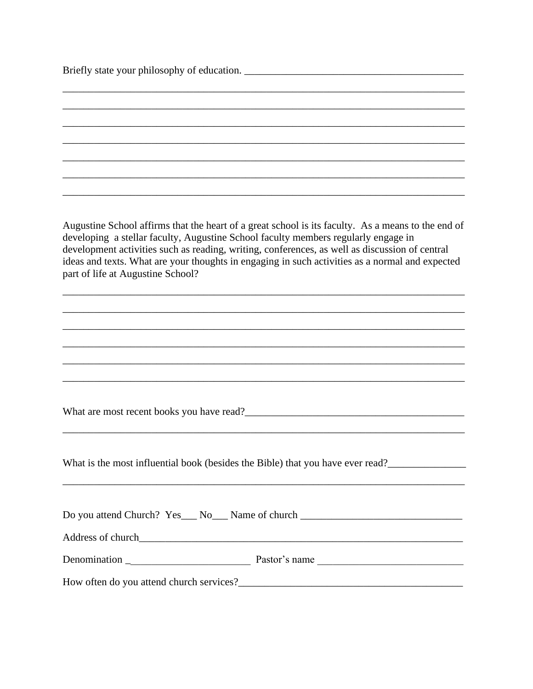| Briefly state your philosophy of education.                                                                                                                                                                                                                                                                                                                                                                                        |
|------------------------------------------------------------------------------------------------------------------------------------------------------------------------------------------------------------------------------------------------------------------------------------------------------------------------------------------------------------------------------------------------------------------------------------|
|                                                                                                                                                                                                                                                                                                                                                                                                                                    |
|                                                                                                                                                                                                                                                                                                                                                                                                                                    |
|                                                                                                                                                                                                                                                                                                                                                                                                                                    |
|                                                                                                                                                                                                                                                                                                                                                                                                                                    |
|                                                                                                                                                                                                                                                                                                                                                                                                                                    |
|                                                                                                                                                                                                                                                                                                                                                                                                                                    |
|                                                                                                                                                                                                                                                                                                                                                                                                                                    |
| Augustine School affirms that the heart of a great school is its faculty. As a means to the end of<br>developing a stellar faculty, Augustine School faculty members regularly engage in<br>development activities such as reading, writing, conferences, as well as discussion of central<br>ideas and texts. What are your thoughts in engaging in such activities as a normal and expected<br>part of life at Augustine School? |
|                                                                                                                                                                                                                                                                                                                                                                                                                                    |
|                                                                                                                                                                                                                                                                                                                                                                                                                                    |
|                                                                                                                                                                                                                                                                                                                                                                                                                                    |
|                                                                                                                                                                                                                                                                                                                                                                                                                                    |
|                                                                                                                                                                                                                                                                                                                                                                                                                                    |
| What are most recent books you have read?                                                                                                                                                                                                                                                                                                                                                                                          |
|                                                                                                                                                                                                                                                                                                                                                                                                                                    |
| What is the most influential book (besides the Bible) that you have ever read?                                                                                                                                                                                                                                                                                                                                                     |
| <u> 1989 - Johann Stoff, deutscher Stoff, der Stoff, der Stoff, der Stoff, der Stoff, der Stoff, der Stoff, der S</u>                                                                                                                                                                                                                                                                                                              |
| Do you attend Church? Yes__ No__ Name of church ________________________________                                                                                                                                                                                                                                                                                                                                                   |
|                                                                                                                                                                                                                                                                                                                                                                                                                                    |
|                                                                                                                                                                                                                                                                                                                                                                                                                                    |
|                                                                                                                                                                                                                                                                                                                                                                                                                                    |
|                                                                                                                                                                                                                                                                                                                                                                                                                                    |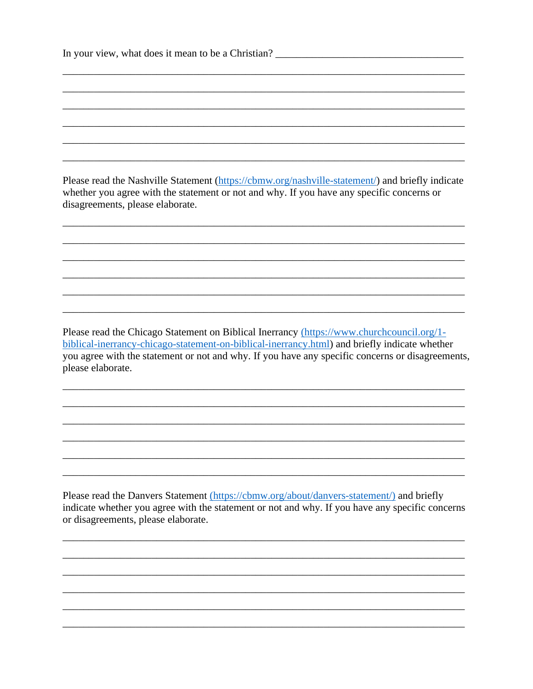| In your view, what does it mean to be a Christian? |  |
|----------------------------------------------------|--|
|----------------------------------------------------|--|

Please read the Nashville Statement (https://cbmw.org/nashville-statement/) and briefly indicate whether you agree with the statement or not and why. If you have any specific concerns or disagreements, please elaborate.

Please read the Chicago Statement on Biblical Inerrancy (https://www.churchcouncil.org/1biblical-inerrancy-chicago-statement-on-biblical-inerrancy.html) and briefly indicate whether you agree with the statement or not and why. If you have any specific concerns or disagreements, please elaborate.

Please read the Danvers Statement (https://cbmw.org/about/danvers-statement/) and briefly indicate whether you agree with the statement or not and why. If you have any specific concerns or disagreements, please elaborate.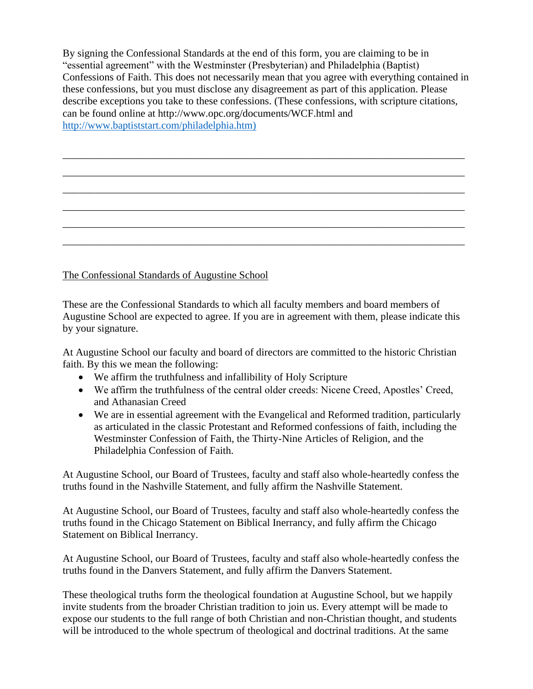By signing the Confessional Standards at the end of this form, you are claiming to be in "essential agreement" with the Westminster (Presbyterian) and Philadelphia (Baptist) Confessions of Faith. This does not necessarily mean that you agree with everything contained in these confessions, but you must disclose any disagreement as part of this application. Please describe exceptions you take to these confessions. (These confessions, with scripture citations, can be found online at http://www.opc.org/documents/WCF.html and [http://www.baptiststart.com/philadelphia.htm\)](http://www.baptiststart.com/philadelphia.htm))

\_\_\_\_\_\_\_\_\_\_\_\_\_\_\_\_\_\_\_\_\_\_\_\_\_\_\_\_\_\_\_\_\_\_\_\_\_\_\_\_\_\_\_\_\_\_\_\_\_\_\_\_\_\_\_\_\_\_\_\_\_\_\_\_\_\_\_\_\_\_\_\_\_\_\_\_\_ \_\_\_\_\_\_\_\_\_\_\_\_\_\_\_\_\_\_\_\_\_\_\_\_\_\_\_\_\_\_\_\_\_\_\_\_\_\_\_\_\_\_\_\_\_\_\_\_\_\_\_\_\_\_\_\_\_\_\_\_\_\_\_\_\_\_\_\_\_\_\_\_\_\_\_\_\_ \_\_\_\_\_\_\_\_\_\_\_\_\_\_\_\_\_\_\_\_\_\_\_\_\_\_\_\_\_\_\_\_\_\_\_\_\_\_\_\_\_\_\_\_\_\_\_\_\_\_\_\_\_\_\_\_\_\_\_\_\_\_\_\_\_\_\_\_\_\_\_\_\_\_\_\_\_ \_\_\_\_\_\_\_\_\_\_\_\_\_\_\_\_\_\_\_\_\_\_\_\_\_\_\_\_\_\_\_\_\_\_\_\_\_\_\_\_\_\_\_\_\_\_\_\_\_\_\_\_\_\_\_\_\_\_\_\_\_\_\_\_\_\_\_\_\_\_\_\_\_\_\_\_\_ \_\_\_\_\_\_\_\_\_\_\_\_\_\_\_\_\_\_\_\_\_\_\_\_\_\_\_\_\_\_\_\_\_\_\_\_\_\_\_\_\_\_\_\_\_\_\_\_\_\_\_\_\_\_\_\_\_\_\_\_\_\_\_\_\_\_\_\_\_\_\_\_\_\_\_\_\_ \_\_\_\_\_\_\_\_\_\_\_\_\_\_\_\_\_\_\_\_\_\_\_\_\_\_\_\_\_\_\_\_\_\_\_\_\_\_\_\_\_\_\_\_\_\_\_\_\_\_\_\_\_\_\_\_\_\_\_\_\_\_\_\_\_\_\_\_\_\_\_\_\_\_\_\_\_

The Confessional Standards of Augustine School

These are the Confessional Standards to which all faculty members and board members of Augustine School are expected to agree. If you are in agreement with them, please indicate this by your signature.

At Augustine School our faculty and board of directors are committed to the historic Christian faith. By this we mean the following:

- We affirm the truthfulness and infallibility of Holy Scripture
- We affirm the truthfulness of the central older creeds: Nicene Creed, Apostles' Creed, and Athanasian Creed
- We are in essential agreement with the Evangelical and Reformed tradition, particularly as articulated in the classic Protestant and Reformed confessions of faith, including the Westminster Confession of Faith, the Thirty-Nine Articles of Religion, and the Philadelphia Confession of Faith.

At Augustine School, our Board of Trustees, faculty and staff also whole-heartedly confess the truths found in the Nashville Statement, and fully affirm the Nashville Statement.

At Augustine School, our Board of Trustees, faculty and staff also whole-heartedly confess the truths found in the Chicago Statement on Biblical Inerrancy, and fully affirm the Chicago Statement on Biblical Inerrancy.

At Augustine School, our Board of Trustees, faculty and staff also whole-heartedly confess the truths found in the Danvers Statement, and fully affirm the Danvers Statement.

These theological truths form the theological foundation at Augustine School, but we happily invite students from the broader Christian tradition to join us. Every attempt will be made to expose our students to the full range of both Christian and non-Christian thought, and students will be introduced to the whole spectrum of theological and doctrinal traditions. At the same